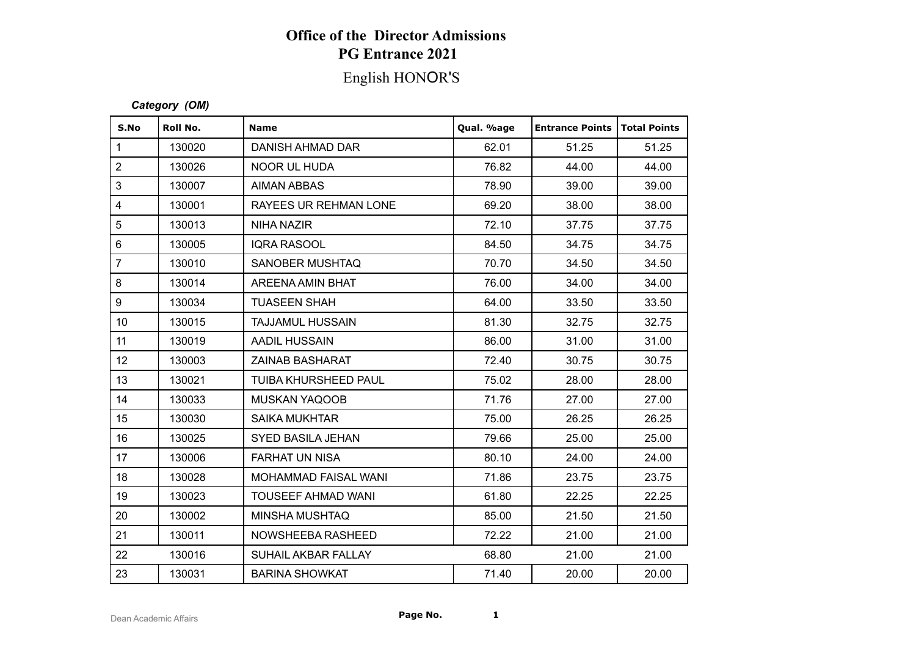### **Office of the Director Admissions PG Entrance 2021**

# English HONOR'S

### *Category (OM)*

| <b>Office of the Director Admissions</b><br><b>PG Entrance 2021</b><br>English HONOR'S<br>Category (OM) |        |                           |       |       |      |  |  |  |  |              |          |                  |            |                        |                   |
|---------------------------------------------------------------------------------------------------------|--------|---------------------------|-------|-------|------|--|--|--|--|--------------|----------|------------------|------------|------------------------|-------------------|
|                                                                                                         |        |                           |       |       |      |  |  |  |  | S.No         | Roll No. | <b>Name</b>      | Qual. %age | <b>Entrance Points</b> | <b>Total Poir</b> |
|                                                                                                         |        |                           |       |       |      |  |  |  |  | $\mathbf{1}$ | 130020   | DANISH AHMAD DAR | 62.01      | 51.25                  | 51.2              |
| $\overline{2}$                                                                                          | 130026 | NOOR UL HUDA              | 76.82 | 44.00 | 44.0 |  |  |  |  |              |          |                  |            |                        |                   |
| 3                                                                                                       | 130007 | <b>AIMAN ABBAS</b>        | 78.90 | 39.00 | 39.0 |  |  |  |  |              |          |                  |            |                        |                   |
| $\overline{\mathbf{4}}$                                                                                 | 130001 | RAYEES UR REHMAN LONE     | 69.20 | 38.00 | 38.0 |  |  |  |  |              |          |                  |            |                        |                   |
| $\overline{5}$                                                                                          | 130013 | <b>NIHA NAZIR</b>         | 72.10 | 37.75 | 37.7 |  |  |  |  |              |          |                  |            |                        |                   |
| 6                                                                                                       | 130005 | <b>IQRA RASOOL</b>        | 84.50 | 34.75 | 34.7 |  |  |  |  |              |          |                  |            |                        |                   |
| $\overline{7}$                                                                                          | 130010 | SANOBER MUSHTAQ           | 70.70 | 34.50 | 34.5 |  |  |  |  |              |          |                  |            |                        |                   |
| 8                                                                                                       | 130014 | AREENA AMIN BHAT          | 76.00 | 34.00 | 34.0 |  |  |  |  |              |          |                  |            |                        |                   |
| 9                                                                                                       | 130034 | <b>TUASEEN SHAH</b>       | 64.00 | 33.50 | 33.5 |  |  |  |  |              |          |                  |            |                        |                   |
| 10                                                                                                      | 130015 | <b>TAJJAMUL HUSSAIN</b>   | 81.30 | 32.75 | 32.7 |  |  |  |  |              |          |                  |            |                        |                   |
| 11                                                                                                      | 130019 | <b>AADIL HUSSAIN</b>      | 86.00 | 31.00 | 31.0 |  |  |  |  |              |          |                  |            |                        |                   |
| 12                                                                                                      | 130003 | <b>ZAINAB BASHARAT</b>    | 72.40 | 30.75 | 30.7 |  |  |  |  |              |          |                  |            |                        |                   |
| 13                                                                                                      | 130021 | TUIBA KHURSHEED PAUL      | 75.02 | 28.00 | 28.0 |  |  |  |  |              |          |                  |            |                        |                   |
| 14                                                                                                      | 130033 | <b>MUSKAN YAQOOB</b>      | 71.76 | 27.00 | 27.0 |  |  |  |  |              |          |                  |            |                        |                   |
| 15                                                                                                      | 130030 | <b>SAIKA MUKHTAR</b>      | 75.00 | 26.25 | 26.2 |  |  |  |  |              |          |                  |            |                        |                   |
| 16                                                                                                      | 130025 | <b>SYED BASILA JEHAN</b>  | 79.66 | 25.00 | 25.0 |  |  |  |  |              |          |                  |            |                        |                   |
| 17                                                                                                      | 130006 | <b>FARHAT UN NISA</b>     | 80.10 | 24.00 | 24.0 |  |  |  |  |              |          |                  |            |                        |                   |
| 18                                                                                                      | 130028 | MOHAMMAD FAISAL WANI      | 71.86 | 23.75 | 23.7 |  |  |  |  |              |          |                  |            |                        |                   |
| 19                                                                                                      | 130023 | <b>TOUSEEF AHMAD WANI</b> | 61.80 | 22.25 | 22.2 |  |  |  |  |              |          |                  |            |                        |                   |
| 20                                                                                                      | 130002 | MINSHA MUSHTAQ            | 85.00 | 21.50 | 21.5 |  |  |  |  |              |          |                  |            |                        |                   |
| 21                                                                                                      | 130011 | NOWSHEEBA RASHEED         | 72.22 | 21.00 | 21.0 |  |  |  |  |              |          |                  |            |                        |                   |
| 22                                                                                                      | 130016 | SUHAIL AKBAR FALLAY       | 68.80 | 21.00 | 21.0 |  |  |  |  |              |          |                  |            |                        |                   |
| 23                                                                                                      | 130031 | <b>BARINA SHOWKAT</b>     | 71.40 | 20.00 | 20.0 |  |  |  |  |              |          |                  |            |                        |                   |